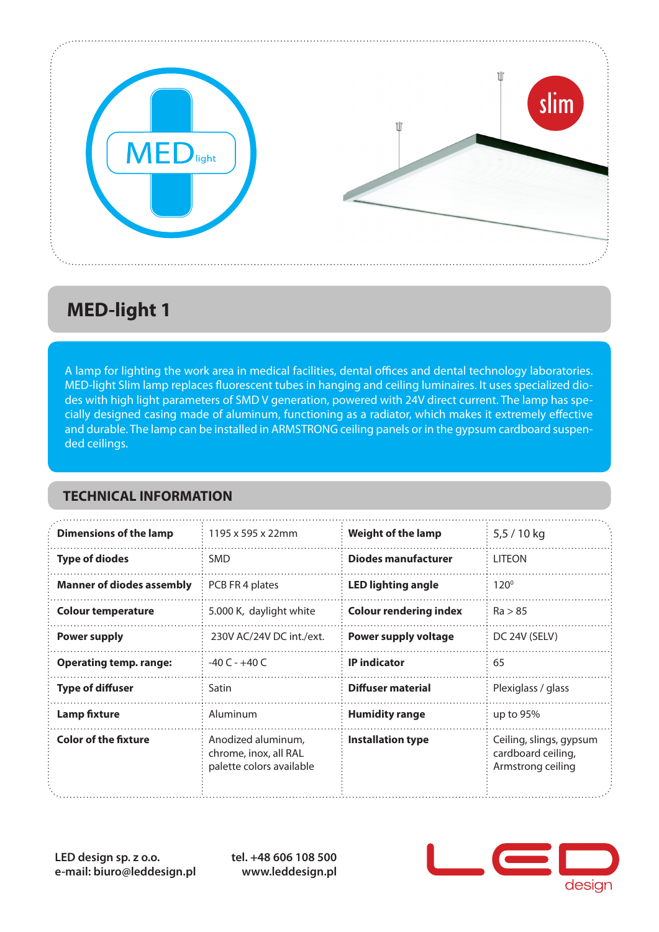

## **MED-light 1**

A lamp for lighting the work area in medical facilities, dental offices and dental technology laboratories. MED-light Slim lamp replaces fluorescent tubes in hanging and ceiling luminaires. It uses specialized diodes with high light parameters of SMD V generation, powered with 24V direct current. The lamp has specially designed casing made of aluminum, functioning as a radiator, which makes it extremely effective and durable. The lamp can be installed in ARMSTRONG ceiling panels or in the gypsum cardboard suspended ceilings.

#### **TECHNICAL INFORMATION**

| <b>Dimensions of the lamp</b>    | 1195 x 595 x 22mm                                                       | <b>Weight of the lamp</b>     | $5,5/10$ kg                                                        |
|----------------------------------|-------------------------------------------------------------------------|-------------------------------|--------------------------------------------------------------------|
| <b>Type of diodes</b>            | <b>SMD</b>                                                              | <b>Diodes manufacturer</b>    | <b>LITEON</b>                                                      |
| <b>Manner of diodes assembly</b> | PCB FR 4 plates                                                         | <b>LED lighting angle</b>     | $120^{\circ}$                                                      |
| <b>Colour temperature</b>        | 5.000 K, daylight white                                                 | <b>Colour rendering index</b> | Ra > 85                                                            |
| <b>Power supply</b>              | 230V AC/24V DC int./ext.                                                | Power supply voltage          | DC 24V (SELV)                                                      |
| <b>Operating temp. range:</b>    | $-40C - +40C$                                                           | <b>IP</b> indicator           | 65                                                                 |
| <b>Type of diffuser</b>          | Satin                                                                   | <b>Diffuser material</b>      | Plexiglass / glass                                                 |
| <b>Lamp fixture</b>              | Aluminum                                                                | <b>Humidity range</b>         | up to $95%$                                                        |
| <b>Color of the fixture</b>      | Anodized aluminum,<br>chrome, inox, all RAL<br>palette colors available | <b>Installation type</b>      | Ceiling, slings, gypsum<br>cardboard ceiling,<br>Armstrong ceiling |

**LED design sp. z o.o. e-mail: biuro@leddesign.pl** **tel. +48 606 108 500 www.leddesign.pl**